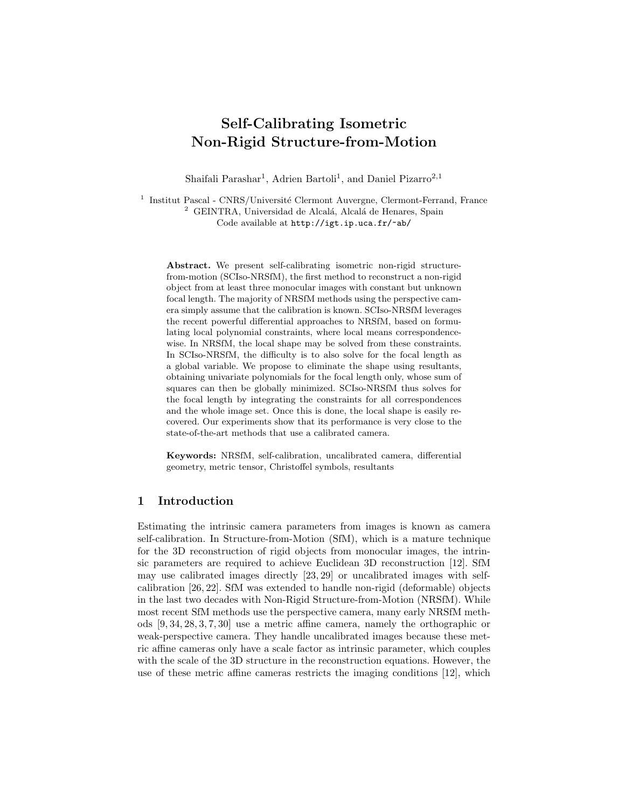# Self-Calibrating Isometric Non-Rigid Structure-from-Motion

Shaifali Parashar<sup>1</sup>, Adrien Bartoli<sup>1</sup>, and Daniel Pizarro<sup>2,1</sup>

<sup>1</sup> Institut Pascal - CNRS/Université Clermont Auvergne, Clermont-Ferrand, France <sup>2</sup> GEINTRA, Universidad de Alcalá, Alcalá de Henares, Spain Code available at http://igt.ip.uca.fr/~ab/

Abstract. We present self-calibrating isometric non-rigid structurefrom-motion (SCIso-NRSfM), the first method to reconstruct a non-rigid object from at least three monocular images with constant but unknown focal length. The majority of NRSfM methods using the perspective camera simply assume that the calibration is known. SCIso-NRSfM leverages the recent powerful differential approaches to NRSfM, based on formulating local polynomial constraints, where local means correspondencewise. In NRSfM, the local shape may be solved from these constraints. In SCIso-NRSfM, the difficulty is to also solve for the focal length as a global variable. We propose to eliminate the shape using resultants, obtaining univariate polynomials for the focal length only, whose sum of squares can then be globally minimized. SCIso-NRSfM thus solves for the focal length by integrating the constraints for all correspondences and the whole image set. Once this is done, the local shape is easily recovered. Our experiments show that its performance is very close to the state-of-the-art methods that use a calibrated camera.

Keywords: NRSfM, self-calibration, uncalibrated camera, differential geometry, metric tensor, Christoffel symbols, resultants

## 1 Introduction

Estimating the intrinsic camera parameters from images is known as camera self-calibration. In Structure-from-Motion (SfM), which is a mature technique for the 3D reconstruction of rigid objects from monocular images, the intrinsic parameters are required to achieve Euclidean 3D reconstruction [12]. SfM may use calibrated images directly [23, 29] or uncalibrated images with selfcalibration [26, 22]. SfM was extended to handle non-rigid (deformable) objects in the last two decades with Non-Rigid Structure-from-Motion (NRSfM). While most recent SfM methods use the perspective camera, many early NRSfM methods [9, 34, 28, 3, 7, 30] use a metric affine camera, namely the orthographic or weak-perspective camera. They handle uncalibrated images because these metric affine cameras only have a scale factor as intrinsic parameter, which couples with the scale of the 3D structure in the reconstruction equations. However, the use of these metric affine cameras restricts the imaging conditions [12], which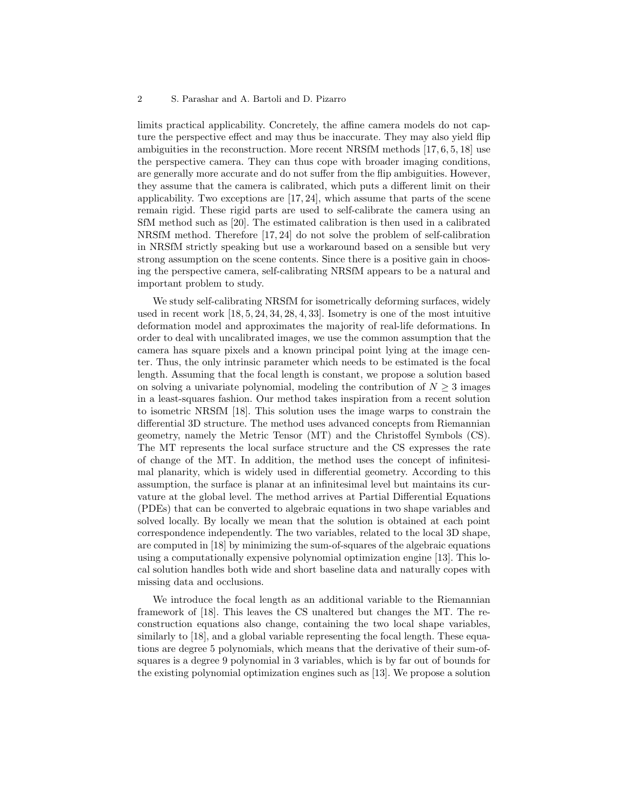#### 2 S. Parashar and A. Bartoli and D. Pizarro

limits practical applicability. Concretely, the affine camera models do not capture the perspective effect and may thus be inaccurate. They may also yield flip ambiguities in the reconstruction. More recent NRSfM methods  $[17, 6, 5, 18]$  use the perspective camera. They can thus cope with broader imaging conditions, are generally more accurate and do not suffer from the flip ambiguities. However, they assume that the camera is calibrated, which puts a different limit on their applicability. Two exceptions are  $[17, 24]$ , which assume that parts of the scene remain rigid. These rigid parts are used to self-calibrate the camera using an SfM method such as [20]. The estimated calibration is then used in a calibrated NRSfM method. Therefore [17, 24] do not solve the problem of self-calibration in NRSfM strictly speaking but use a workaround based on a sensible but very strong assumption on the scene contents. Since there is a positive gain in choosing the perspective camera, self-calibrating NRSfM appears to be a natural and important problem to study.

We study self-calibrating NRSfM for isometrically deforming surfaces, widely used in recent work [18, 5, 24, 34, 28, 4, 33]. Isometry is one of the most intuitive deformation model and approximates the majority of real-life deformations. In order to deal with uncalibrated images, we use the common assumption that the camera has square pixels and a known principal point lying at the image center. Thus, the only intrinsic parameter which needs to be estimated is the focal length. Assuming that the focal length is constant, we propose a solution based on solving a univariate polynomial, modeling the contribution of  $N \geq 3$  images in a least-squares fashion. Our method takes inspiration from a recent solution to isometric NRSfM [18]. This solution uses the image warps to constrain the differential 3D structure. The method uses advanced concepts from Riemannian geometry, namely the Metric Tensor (MT) and the Christoffel Symbols (CS). The MT represents the local surface structure and the CS expresses the rate of change of the MT. In addition, the method uses the concept of infinitesimal planarity, which is widely used in differential geometry. According to this assumption, the surface is planar at an infinitesimal level but maintains its curvature at the global level. The method arrives at Partial Differential Equations (PDEs) that can be converted to algebraic equations in two shape variables and solved locally. By locally we mean that the solution is obtained at each point correspondence independently. The two variables, related to the local 3D shape, are computed in [18] by minimizing the sum-of-squares of the algebraic equations using a computationally expensive polynomial optimization engine [13]. This local solution handles both wide and short baseline data and naturally copes with missing data and occlusions.

We introduce the focal length as an additional variable to the Riemannian framework of [18]. This leaves the CS unaltered but changes the MT. The reconstruction equations also change, containing the two local shape variables, similarly to [18], and a global variable representing the focal length. These equations are degree 5 polynomials, which means that the derivative of their sum-ofsquares is a degree 9 polynomial in 3 variables, which is by far out of bounds for the existing polynomial optimization engines such as [13]. We propose a solution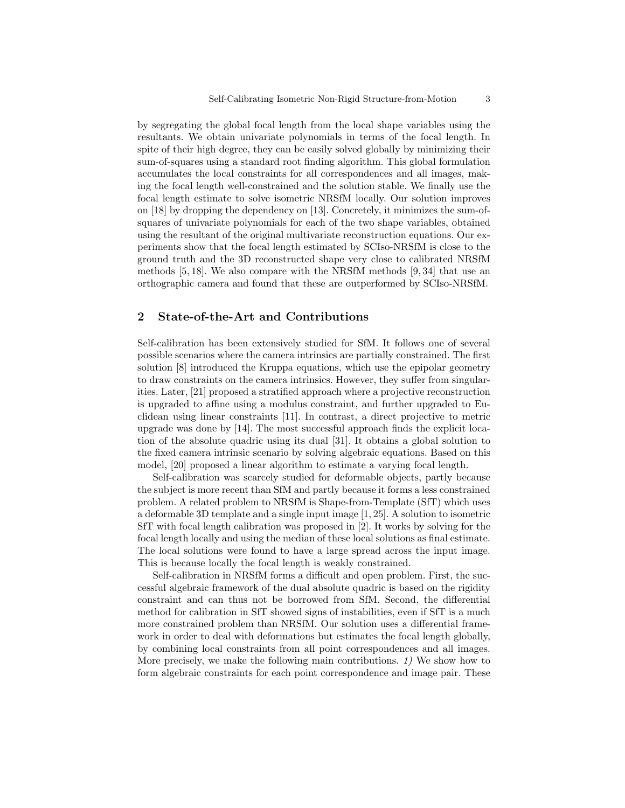by segregating the global focal length from the local shape variables using the resultants. We obtain univariate polynomials in terms of the focal length. In spite of their high degree, they can be easily solved globally by minimizing their sum-of-squares using a standard root finding algorithm. This global formulation accumulates the local constraints for all correspondences and all images, making the focal length well-constrained and the solution stable. We finally use the focal length estimate to solve isometric NRSfM locally. Our solution improves on [18] by dropping the dependency on [13]. Concretely, it minimizes the sum-ofsquares of univariate polynomials for each of the two shape variables, obtained using the resultant of the original multivariate reconstruction equations. Our experiments show that the focal length estimated by SCIso-NRSfM is close to the ground truth and the 3D reconstructed shape very close to calibrated NRSfM methods [5, 18]. We also compare with the NRSfM methods [9, 34] that use an orthographic camera and found that these are outperformed by SCIso-NRSfM.

# 2 State-of-the-Art and Contributions

Self-calibration has been extensively studied for SfM. It follows one of several possible scenarios where the camera intrinsics are partially constrained. The first solution [8] introduced the Kruppa equations, which use the epipolar geometry to draw constraints on the camera intrinsics. However, they suffer from singularities. Later, [21] proposed a stratified approach where a projective reconstruction is upgraded to affine using a modulus constraint, and further upgraded to Euclidean using linear constraints [11]. In contrast, a direct projective to metric upgrade was done by [14]. The most successful approach finds the explicit location of the absolute quadric using its dual [31]. It obtains a global solution to the fixed camera intrinsic scenario by solving algebraic equations. Based on this model, [20] proposed a linear algorithm to estimate a varying focal length.

Self-calibration was scarcely studied for deformable objects, partly because the subject is more recent than SfM and partly because it forms a less constrained problem. A related problem to NRSfM is Shape-from-Template (SfT) which uses a deformable 3D template and a single input image [1, 25]. A solution to isometric SfT with focal length calibration was proposed in [2]. It works by solving for the focal length locally and using the median of these local solutions as final estimate. The local solutions were found to have a large spread across the input image. This is because locally the focal length is weakly constrained.

Self-calibration in NRSfM forms a difficult and open problem. First, the successful algebraic framework of the dual absolute quadric is based on the rigidity constraint and can thus not be borrowed from SfM. Second, the differential method for calibration in SfT showed signs of instabilities, even if SfT is a much more constrained problem than NRSfM. Our solution uses a differential framework in order to deal with deformations but estimates the focal length globally, by combining local constraints from all point correspondences and all images. More precisely, we make the following main contributions. 1) We show how to form algebraic constraints for each point correspondence and image pair. These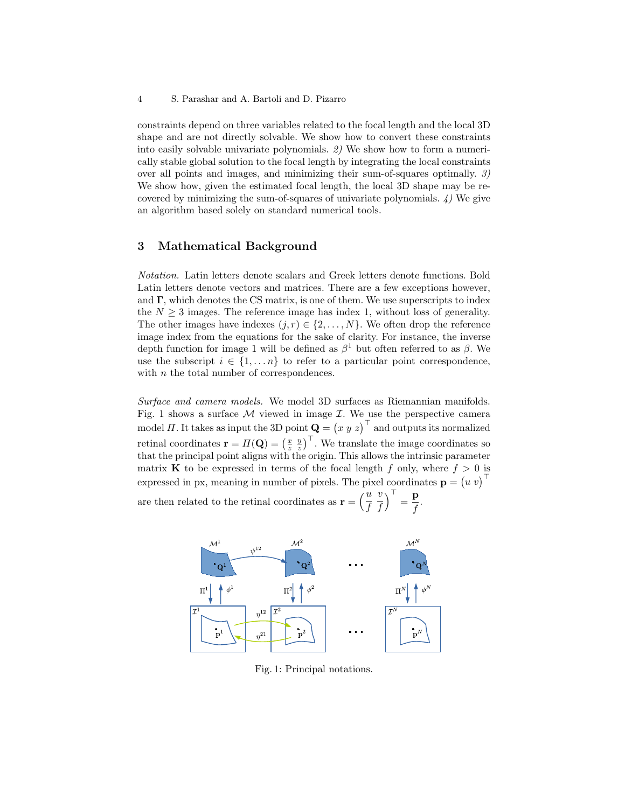constraints depend on three variables related to the focal length and the local 3D shape and are not directly solvable. We show how to convert these constraints into easily solvable univariate polynomials. 2) We show how to form a numerically stable global solution to the focal length by integrating the local constraints over all points and images, and minimizing their sum-of-squares optimally. 3) We show how, given the estimated focal length, the local 3D shape may be recovered by minimizing the sum-of-squares of univariate polynomials.  $\lambda$ ) We give an algorithm based solely on standard numerical tools.

## 3 Mathematical Background

Notation. Latin letters denote scalars and Greek letters denote functions. Bold Latin letters denote vectors and matrices. There are a few exceptions however, and  $\Gamma$ , which denotes the CS matrix, is one of them. We use superscripts to index the  $N \geq 3$  images. The reference image has index 1, without loss of generality. The other images have indexes  $(j, r) \in \{2, \ldots, N\}$ . We often drop the reference image index from the equations for the sake of clarity. For instance, the inverse depth function for image 1 will be defined as  $\beta$ <sup>1</sup> but often referred to as  $\beta$ . We use the subscript  $i \in \{1, \ldots n\}$  to refer to a particular point correspondence. with *n* the total number of correspondences.

Surface and camera models. We model 3D surfaces as Riemannian manifolds. Fig. 1 shows a surface  $M$  viewed in image  $\mathcal I$ . We use the perspective camera model  $\Pi$ . It takes as input the 3D point  $\mathbf{Q} = (x \ y \ z)^{\top}$  and outputs its normalized retinal coordinates  $\mathbf{r} = \Pi(\mathbf{Q}) = \left(\frac{x}{z} \frac{y}{z}\right)^{\top}$ . We translate the image coordinates so that the principal point aligns with the origin. This allows the intrinsic parameter matrix **K** to be expressed in terms of the focal length f only, where  $f > 0$  is expressed in px, meaning in number of pixels. The pixel coordinates  $\mathbf{p} = (u \ v)^{\top}$ are then related to the retinal coordinates as  $\mathbf{r} = \left(\frac{u}{t}\right)$ v  $\big)^{\top} = \frac{\mathbf{p}}{c}$ 

f f  $\frac{\mathbf{r}}{f}$ .



Fig. 1: Principal notations.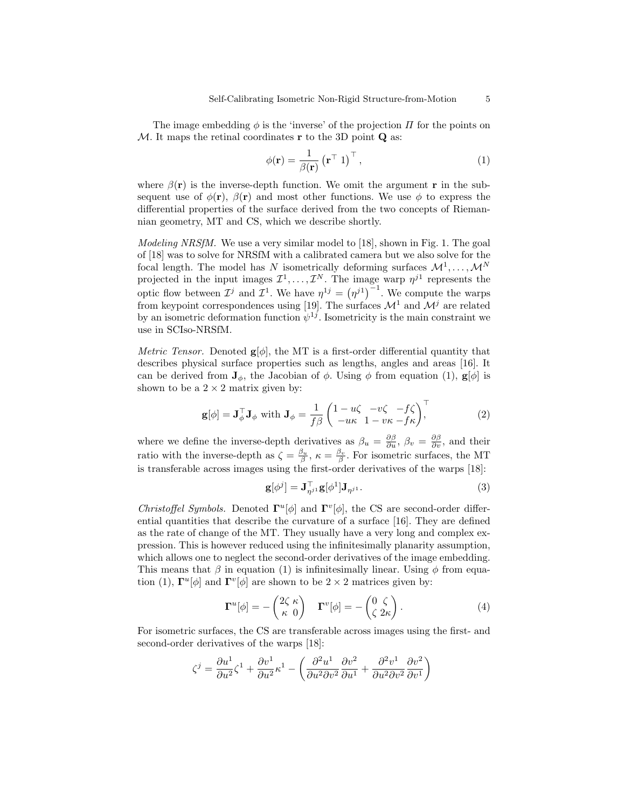The image embedding  $\phi$  is the 'inverse' of the projection  $\Pi$  for the points on  $M$ . It maps the retinal coordinates **r** to the 3D point **Q** as:

$$
\phi(\mathbf{r}) = \frac{1}{\beta(\mathbf{r})} (\mathbf{r}^{\top} \ 1)^{\top}, \tag{1}
$$

where  $\beta(\mathbf{r})$  is the inverse-depth function. We omit the argument r in the subsequent use of  $\phi(\mathbf{r}), \beta(\mathbf{r})$  and most other functions. We use  $\phi$  to express the differential properties of the surface derived from the two concepts of Riemannian geometry, MT and CS, which we describe shortly.

Modeling NRSfM. We use a very similar model to [18], shown in Fig. 1. The goal of [18] was to solve for NRSfM with a calibrated camera but we also solve for the focal length. The model has N isometrically deforming surfaces  $\mathcal{M}^1, \ldots, \mathcal{M}^N$ projected in the input images  $\mathcal{I}^1, \ldots, \mathcal{I}^N$ . The image warp  $\eta^{j1}$  represents the optic flow between  $\mathcal{I}^j$  and  $\mathcal{I}^1$ . We have  $\eta^{1j} = (\eta^{j1})^{-1}$ . We compute the warps from keypoint correspondences using [19]. The surfaces  $\mathcal{M}^1$  and  $\mathcal{M}^j$  are related by an isometric deformation function  $\psi^{1j}$ . Isometricity is the main constraint we use in SCIso-NRSfM.

*Metric Tensor.* Denoted  $g[\phi]$ , the MT is a first-order differential quantity that describes physical surface properties such as lengths, angles and areas [16]. It can be derived from  $J_{\phi}$ , the Jacobian of  $\phi$ . Using  $\phi$  from equation (1),  $g[\phi]$  is shown to be a  $2 \times 2$  matrix given by:

$$
\mathbf{g}[\phi] = \mathbf{J}_{\phi}^{\top} \mathbf{J}_{\phi} \text{ with } \mathbf{J}_{\phi} = \frac{1}{f\beta} \begin{pmatrix} 1 - u\zeta & -v\zeta & -f\zeta \\ -u\kappa & 1 - v\kappa - f\kappa \end{pmatrix}^{\top},
$$
(2)

where we define the inverse-depth derivatives as  $\beta_u = \frac{\partial \beta}{\partial u}, \beta_v = \frac{\partial \beta}{\partial v}$ , and their ratio with the inverse-depth as  $\zeta = \frac{\beta_u}{\beta}$ ,  $\kappa = \frac{\beta_v}{\beta}$ . For isometric surfaces, the MT is transferable across images using the first-order derivatives of the warps [18]:

$$
\mathbf{g}[\phi^j] = \mathbf{J}_{\eta^{j1}}^\top \mathbf{g}[\phi^1] \mathbf{J}_{\eta^{j1}}.
$$
\n(3)

Christoffel Symbols. Denoted  $\Gamma^u[\phi]$  and  $\Gamma^v[\phi]$ , the CS are second-order differential quantities that describe the curvature of a surface [16]. They are defined as the rate of change of the MT. They usually have a very long and complex expression. This is however reduced using the infinitesimally planarity assumption, which allows one to neglect the second-order derivatives of the image embedding. This means that  $\beta$  in equation (1) is infinitesimally linear. Using  $\phi$  from equation (1),  $\mathbf{\Gamma}^u[\phi]$  and  $\mathbf{\Gamma}^v[\phi]$  are shown to be  $2 \times 2$  matrices given by:

$$
\Gamma^{u}[\phi] = -\begin{pmatrix} 2\zeta \ \kappa \\ \kappa \ 0 \end{pmatrix} \quad \Gamma^{v}[\phi] = -\begin{pmatrix} 0 & \zeta \\ \zeta & 2\kappa \end{pmatrix} . \tag{4}
$$

For isometric surfaces, the CS are transferable across images using the first- and second-order derivatives of the warps [18]:

$$
\zeta^j = \frac{\partial u^1}{\partial u^2} \zeta^1 + \frac{\partial v^1}{\partial u^2} \kappa^1 - \left( \frac{\partial^2 u^1}{\partial u^2 \partial v^2} \frac{\partial v^2}{\partial u^1} + \frac{\partial^2 v^1}{\partial u^2 \partial v^2} \frac{\partial v^2}{\partial v^1} \right)
$$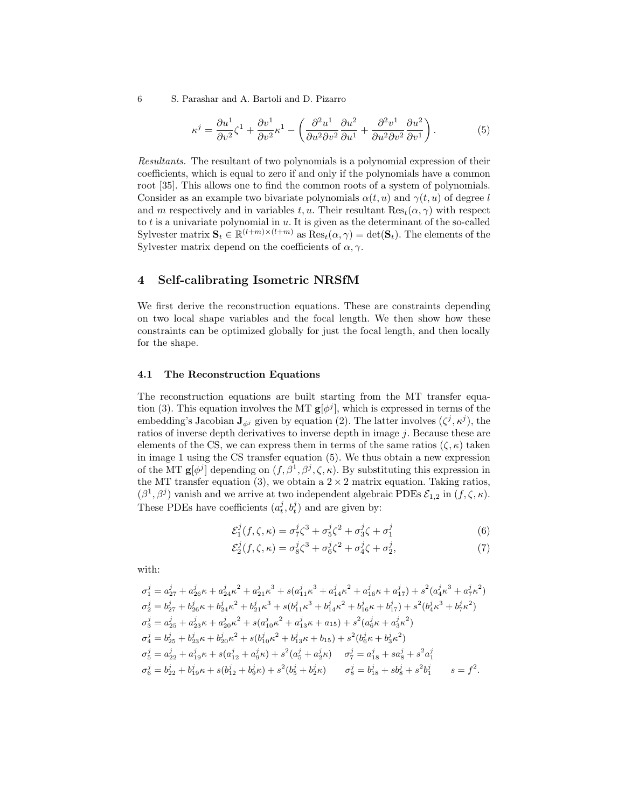6 S. Parashar and A. Bartoli and D. Pizarro

$$
\kappa^{j} = \frac{\partial u^{1}}{\partial v^{2}} \zeta^{1} + \frac{\partial v^{1}}{\partial v^{2}} \kappa^{1} - \left( \frac{\partial^{2} u^{1}}{\partial u^{2} \partial v^{2}} \frac{\partial u^{2}}{\partial u^{1}} + \frac{\partial^{2} v^{1}}{\partial u^{2} \partial v^{2}} \frac{\partial u^{2}}{\partial v^{1}} \right). \tag{5}
$$

Resultants. The resultant of two polynomials is a polynomial expression of their coefficients, which is equal to zero if and only if the polynomials have a common root [35]. This allows one to find the common roots of a system of polynomials. Consider as an example two bivariate polynomials  $\alpha(t, u)$  and  $\gamma(t, u)$  of degree l and m respectively and in variables t, u. Their resultant  $\text{Res}_{t}(\alpha, \gamma)$  with respect to  $t$  is a univariate polynomial in  $u$ . It is given as the determinant of the so-called Sylvester matrix  $\mathbf{S}_t \in \mathbb{R}^{(l+m)\times(l+m)}$  as  $\text{Res}_t(\alpha, \gamma) = \text{det}(\mathbf{S}_t)$ . The elements of the Sylvester matrix depend on the coefficients of  $\alpha, \gamma$ .

# 4 Self-calibrating Isometric NRSfM

We first derive the reconstruction equations. These are constraints depending on two local shape variables and the focal length. We then show how these constraints can be optimized globally for just the focal length, and then locally for the shape.

## 4.1 The Reconstruction Equations

The reconstruction equations are built starting from the MT transfer equation (3). This equation involves the MT  $g[\phi^j]$ , which is expressed in terms of the embedding's Jacobian  $J_{\phi j}$  given by equation (2). The latter involves  $(\zeta^j, \kappa^j)$ , the ratios of inverse depth derivatives to inverse depth in image j. Because these are elements of the CS, we can express them in terms of the same ratios  $(\zeta, \kappa)$  taken in image 1 using the CS transfer equation (5). We thus obtain a new expression of the MT  $g[\phi^j]$  depending on  $(f, \beta^1, \beta^j, \zeta, \kappa)$ . By substituting this expression in the MT transfer equation (3), we obtain a  $2 \times 2$  matrix equation. Taking ratios,  $(\beta^1, \beta^j)$  vanish and we arrive at two independent algebraic PDEs  $\mathcal{E}_{1,2}$  in  $(f, \zeta, \kappa)$ . These PDEs have coefficients  $(a_t^j, b_t^j)$  and are given by:

$$
\mathcal{E}_1^j(f,\zeta,\kappa) = \sigma_7^j \zeta^3 + \sigma_5^j \zeta^2 + \sigma_3^j \zeta + \sigma_1^j \tag{6}
$$

$$
\mathcal{E}_2^j(f,\zeta,\kappa) = \sigma_8^j \zeta^3 + \sigma_6^j \zeta^2 + \sigma_4^j \zeta + \sigma_2^j,\tag{7}
$$

with:

$$
\begin{aligned}\n\sigma_1^j &= a_{27}^j + a_{26}^j \kappa + a_{24}^j \kappa^2 + a_{21}^j \kappa^3 + s(a_{11}^j \kappa^3 + a_{14}^j \kappa^2 + a_{16}^j \kappa + a_{17}^j) + s^2 (a_4^j \kappa^3 + a_7^j \kappa^2) \\
\sigma_2^j &= b_{27}^j + b_{26}^j \kappa + b_{24}^j \kappa^2 + b_{21}^j \kappa^3 + s(b_{11}^j \kappa^3 + b_{14}^j \kappa^2 + b_{16}^j \kappa + b_{17}^j) + s^2 (b_4^j \kappa^3 + b_7^j \kappa^2) \\
\sigma_3^j &= a_{25}^j + a_{23}^j \kappa + a_{20}^j \kappa^2 + s(a_{10}^j \kappa^2 + a_{13}^j \kappa + a_{15}) + s^2 (a_6^j \kappa + a_3^j \kappa^2) \\
\sigma_4^j &= b_{25}^j + b_{23}^j \kappa + b_{20}^j \kappa^2 + s(b_{10}^j \kappa^2 + b_{13}^j \kappa + b_{15}) + s^2 (b_6^j \kappa + b_3^j \kappa^2) \\
\sigma_5^j &= a_{22}^j + a_{19}^j \kappa + s(a_{12}^j + a_9^j \kappa) + s^2 (a_5^j + a_2^j \kappa) \\
\sigma_6^j &= b_{22}^j + b_{19}^j \kappa + s(b_{12}^j + b_{9}^j \kappa) + s^2 (b_5^j + b_2^j \kappa) \\
\sigma_8^j &= b_{18}^j + s b_8^j + s^2 b_1^j\n\end{aligned}
$$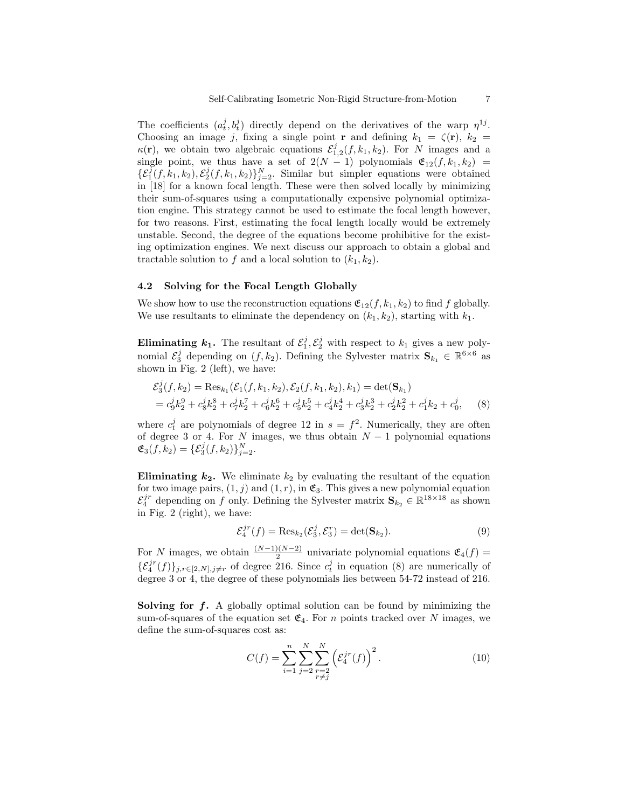The coefficients  $(a_t^j, b_t^j)$  directly depend on the derivatives of the warp  $\eta^{1j}$ . Choosing an image j, fixing a single point **r** and defining  $k_1 = \zeta(\mathbf{r})$ ,  $k_2 =$  $\kappa(\mathbf{r})$ , we obtain two algebraic equations  $\mathcal{E}_{1,2}^j(f,k_1,k_2)$ . For N images and a single point, we thus have a set of  $2(N-1)$  polynomials  $\mathfrak{E}_{12}(f, k_1, k_2)$  =  $\{\mathcal{E}_1^j(f,k_1,k_2),\mathcal{E}_2^j(f,k_1,k_2)\}_{j=2}^N$ . Similar but simpler equations were obtained in [18] for a known focal length. These were then solved locally by minimizing their sum-of-squares using a computationally expensive polynomial optimization engine. This strategy cannot be used to estimate the focal length however, for two reasons. First, estimating the focal length locally would be extremely unstable. Second, the degree of the equations become prohibitive for the existing optimization engines. We next discuss our approach to obtain a global and tractable solution to f and a local solution to  $(k_1, k_2)$ .

## 4.2 Solving for the Focal Length Globally

We show how to use the reconstruction equations  $\mathfrak{E}_{12}(f, k_1, k_2)$  to find f globally. We use resultants to eliminate the dependency on  $(k_1, k_2)$ , starting with  $k_1$ .

**Eliminating**  $k_1$ **.** The resultant of  $\mathcal{E}_1^j$ ,  $\mathcal{E}_2^j$  with respect to  $k_1$  gives a new polynomial  $\mathcal{E}_3^j$  depending on  $(f, k_2)$ . Defining the Sylvester matrix  $\mathbf{S}_{k_1} \in \mathbb{R}^{6 \times 6}$  as shown in Fig. 2 (left), we have:

$$
\mathcal{E}_3^j(f, k_2) = \text{Res}_{k_1}(\mathcal{E}_1(f, k_1, k_2), \mathcal{E}_2(f, k_1, k_2), k_1) = \det(\mathbf{S}_{k_1})
$$
  
=  $c_9^j k_2^9 + c_8^j k_2^8 + c_7^j k_2^7 + c_6^j k_2^6 + c_5^j k_2^5 + c_4^j k_2^4 + c_3^j k_2^3 + c_2^j k_2^2 + c_1^j k_2 + c_0^j,$  (8)

where  $c_t^j$  are polynomials of degree 12 in  $s = f^2$ . Numerically, they are often of degree 3 or 4. For N images, we thus obtain  $N-1$  polynomial equations  $\mathfrak{E}_3(f,k_2) = {\mathcal{E}_3^j(f,k_2)}_{j=2}^N$ .

**Eliminating**  $k_2$ **.** We eliminate  $k_2$  by evaluating the resultant of the equation for two image pairs,  $(1, j)$  and  $(1, r)$ , in  $\mathfrak{E}_3$ . This gives a new polynomial equation  $\mathcal{E}_4^{jr}$  depending on f only. Defining the Sylvester matrix  $\mathbf{S}_{k_2} \in \mathbb{R}^{18 \times 18}$  as shown in Fig. 2 (right), we have:

$$
\mathcal{E}_4^{jr}(f) = \text{Res}_{k_2}(\mathcal{E}_3^j, \mathcal{E}_3^r) = \det(\mathbf{S}_{k_2}).\tag{9}
$$

For N images, we obtain  $\frac{(N-1)(N-2)}{2}$  univariate polynomial equations  $\mathfrak{E}_4(f)$  =  $\{\mathcal{E}_4^{jr}(f)\}_{j,r\in[2,N],j\neq r}$  of degree 216. Since  $c_t^j$  in equation (8) are numerically of degree 3 or 4, the degree of these polynomials lies between 54-72 instead of 216.

**Solving for f.** A globally optimal solution can be found by minimizing the sum-of-squares of the equation set  $\mathfrak{E}_4$ . For n points tracked over N images, we define the sum-of-squares cost as:

$$
C(f) = \sum_{i=1}^{n} \sum_{j=2}^{N} \sum_{\substack{r=2 \\ r \neq j}}^{N} \left( \mathcal{E}_4^{jr}(f) \right)^2.
$$
 (10)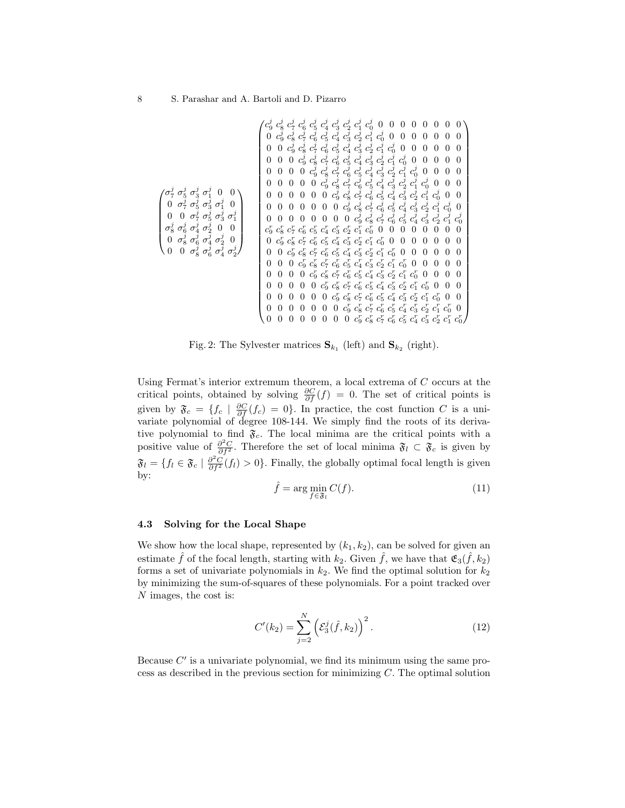| $\sigma_7^j$ $\sigma_5^j$ $\sigma_3^j$ $\sigma_1^j$ 0<br>0 $\sigma_7^j$ $\sigma_5^j$ $\sigma_3^j$ $\sigma_1^j$<br>$\overline{0}$<br>$\sigma_7^j \sigma_5^j \sigma_3^j \sigma_1^j$<br>$\overline{0}$<br>$\overline{0}$<br>$\sigma_8^j \sigma_6^j \sigma_4^j \sigma_2^j$ 0<br>$\Omega$<br>$\sigma_8^{\check{j}} \, \sigma_6^{\check{j}} \, \sigma_4^{\check{j}} \, \sigma_2^{\check{j}} \, \sigma_2^j \, 0$<br>0 $\sigma_8^j \, \sigma_6^j \, \sigma_4^j \, \sigma_2^j$<br>$\overline{0}$<br>$\sigma^j_2$<br>$\theta$ | $c_9^j$<br>0<br>0<br>0<br>0<br>0<br>0<br>$\overline{0}$<br>$\Omega$<br>$\theta$<br>0<br>0<br>0<br>0<br>∩ | $\overline{0}$<br>$\overline{0}$<br>0<br>0<br>0<br>0<br>0 | 0<br>$\overline{0}$<br>$\overline{0}$<br>0<br>$\Omega$<br>$\theta$<br>$\theta$<br>0<br>0 | $\overline{0}$<br>$\overline{0}$<br>$\mathbf{0}$<br>0<br>0<br>$\theta$ | $\overline{0}$<br>$\boldsymbol{0}$<br>0<br>0<br>$\overline{0}$ | $\overline{0}$<br>$\theta$<br>$\theta$ | $\overline{0}$ | $\overline{0}$ | $c_8^j$ $c_7^j$ $c_6^j$ $c_5^j$ $c_4^j$ $c_3^j$ $c_2^j$ $c_1^j$ $c_0^j$ $c_0^j$<br>$c_9^j$ $c_8^j$ $c_7^j$ $c_6^j$ $c_5^j$ $c_4^j$ $c_3^j$ $c_2^j$ $c_1^j$ $c_0^j$ $0$<br>$c_9^{\tilde{j}}$ $c_8^{\tilde{j}}$ $c_7^{\tilde{j}}$ $c_6^{\tilde{j}}$ $c_5^{\tilde{j}}$ $c_4^{\tilde{j}}$ $c_3^{\tilde{j}}$ $c_2^{\tilde{j}}$ $c_1^{\tilde{j}}$ $c_0^{\tilde{j}}$ $0$<br>$0\;\; c^j_9\;c^j_8\;c^j_7\;c^j_6\;c^j_5\;c^j_4\;c^{\bar{j}}_3\;c^{\bar{j}}_2\;c^{\bar{j}}_1\;c^j_0\;\;0$<br>$c_9^j$ $c_8^j$ $c_7^j$ $c_6^j$ $c_5^j$ $c_4^j$ $c_3^j$ $c_2^j$ $c_1^j$ $c_0^j$ $0$<br>$c_9^j$ $c_8^j$ $c_7^j$ $c_6^j$ $c_5^j$ $c_4^j$ $c_3^j$ $c_2^j$ $c_1^j$ $c_0^j$<br>$c_9^j$ $c_8^j$ $c_7^j$ $c_6^j$ $c_5^j$ $c_4^j$ $c_3^j$ $c_2^j$ $c_1^j$<br>0 $c_9^j$ $c_8^j$ $c_7^j$ $c_6^j$ $c_5^j$ $c_4^j$ $c_3^j$ $c_2^j$ $c_1^j$<br>$c^j_9\ c^j_8\ c^j_7\ c^j_6\ c^j_5\ c^j_4\ c^j_3\ c^j_2\ c^j_1$<br>$c_9^r$ $c_8^r$ $c_7^r$ $c_6^r$ $c_5^r$ $c_4^r$ $c_3^r$ $c_2^r$ $c_1^r$ $c_0^r$ 0<br>$c_9^r$ $c_8^r$ $c_7^r$ $c_6^r$ $c_5^r$ $c_4^r$ $c_3^r$ $c_2^r$ $c_1^r$ $c_0^r$<br>$c_9^r$ $c_8^r$ $c_7^r$ $c_6^r$ $c_5^r$ $c_4^r$ $c_3^r$ $c_2^r$ $c_1^r$ $c_0^r$ 0<br>$c_9^r$ $c_8^r$ $c_7^r$ $c_6^r$ $c_5^r$ $c_4^r$ $c_3^r$ $c_2^r$ $c_1^r$ $c_0^r$ 0<br>0 $c_9^r$ $c_8^r$ $c_7^r$ $c_6^r$ $c_5^r$ $c_4^r$ $c_3^r$ $c_2^r$ $c_1^r$ $c_0^r$<br>$c_9^r$ $c_8^r$ $c_7^r$ $c_6^r$ $c_5^r$ $c_4^r$ $c_3^r$ $c_2^r$ $c_1^r$ $c_0^r$ |  | 0<br>$\Omega$<br>$\Omega$ | $\overline{0}$<br>$\theta$<br>$\theta$ | $\overline{0}$<br>$\overline{0}$<br>$\theta$<br>$\theta$ | $\overline{0}$<br>0<br>$\theta$<br>0<br>$\theta$<br>$\theta$<br>$\theta$<br>0 | $\overline{0}$<br>$\mathbf{0}$<br>0<br>$\Omega$<br>$\overline{0}$<br>$c_0^j$<br>$\theta$<br>$\Omega$<br>0<br>$\theta$<br>$\theta$<br>$\theta$ | $\overline{0}$<br>$\theta$<br>$\overline{0}$<br>$\theta$<br>$\overline{0}$<br>$c_0^j$ | $\theta$<br>$\theta$<br>$\theta$<br>$\Omega$<br>$\Omega$<br>0<br>$c_0^j$<br>$\mathbf{0}$<br>$\left( \right)$ |  |
|---------------------------------------------------------------------------------------------------------------------------------------------------------------------------------------------------------------------------------------------------------------------------------------------------------------------------------------------------------------------------------------------------------------------------------------------------------------------------------------------------------------------|----------------------------------------------------------------------------------------------------------|-----------------------------------------------------------|------------------------------------------------------------------------------------------|------------------------------------------------------------------------|----------------------------------------------------------------|----------------------------------------|----------------|----------------|---------------------------------------------------------------------------------------------------------------------------------------------------------------------------------------------------------------------------------------------------------------------------------------------------------------------------------------------------------------------------------------------------------------------------------------------------------------------------------------------------------------------------------------------------------------------------------------------------------------------------------------------------------------------------------------------------------------------------------------------------------------------------------------------------------------------------------------------------------------------------------------------------------------------------------------------------------------------------------------------------------------------------------------------------------------------------------------------------------------------------------------------------------------------------------------------------------------------------------------------------------------------------------------------------------------------------------------------------------------------------------------------------------------|--|---------------------------|----------------------------------------|----------------------------------------------------------|-------------------------------------------------------------------------------|-----------------------------------------------------------------------------------------------------------------------------------------------|---------------------------------------------------------------------------------------|--------------------------------------------------------------------------------------------------------------|--|
|                                                                                                                                                                                                                                                                                                                                                                                                                                                                                                                     |                                                                                                          |                                                           |                                                                                          |                                                                        |                                                                |                                        |                |                |                                                                                                                                                                                                                                                                                                                                                                                                                                                                                                                                                                                                                                                                                                                                                                                                                                                                                                                                                                                                                                                                                                                                                                                                                                                                                                                                                                                                               |  |                           |                                        |                                                          |                                                                               |                                                                                                                                               |                                                                                       |                                                                                                              |  |
|                                                                                                                                                                                                                                                                                                                                                                                                                                                                                                                     |                                                                                                          |                                                           |                                                                                          | $\theta$                                                               | 0                                                              | $\theta$                               |                |                | $c_9^r$ $c_8^r$ $c_7^r$ $c_6^r$ $c_5^r$ $c_4^r$ $c_3^r$ $c_2^r$ $c_1^r$ $c_0^r$ $0$                                                                                                                                                                                                                                                                                                                                                                                                                                                                                                                                                                                                                                                                                                                                                                                                                                                                                                                                                                                                                                                                                                                                                                                                                                                                                                                           |  |                           |                                        |                                                          |                                                                               |                                                                                                                                               |                                                                                       |                                                                                                              |  |
|                                                                                                                                                                                                                                                                                                                                                                                                                                                                                                                     | $\overline{0}$                                                                                           | 0                                                         | $\theta$<br>$\theta$                                                                     | 0<br>$\theta$                                                          | $\Omega$<br>$\theta$                                           | $\theta$<br>$\theta$                   | $\theta$       |                | $0\ \ c_9^r\ c_8^r\ c_7^r\ c_6^r\ c_5^r\ c_4^r\ c_3^r\ c_2^r\ c_1^r\ c_0^r\ 0\\$                                                                                                                                                                                                                                                                                                                                                                                                                                                                                                                                                                                                                                                                                                                                                                                                                                                                                                                                                                                                                                                                                                                                                                                                                                                                                                                              |  |                           |                                        |                                                          |                                                                               |                                                                                                                                               |                                                                                       | $0\;c_9^r\;c_8^r\;c_7^r\;c_6^r\;c_5^r\;c_4^r\;c_3^r\;c_2^r\;c_1^r\;c_0^r$                                    |  |

Fig. 2: The Sylvester matrices  $\mathbf{S}_{k_1}$  (left) and  $\mathbf{S}_{k_2}$  (right).

Using Fermat's interior extremum theorem, a local extrema of C occurs at the critical points, obtained by solving  $\frac{\partial C}{\partial f}(f) = 0$ . The set of critical points is given by  $\mathfrak{F}_c = \{f_c \mid \frac{\partial C}{\partial f}(f_c) = 0\}$ . In practice, the cost function C is a univariate polynomial of degree 108-144. We simply find the roots of its derivative polynomial to find  $\mathfrak{F}_c$ . The local minima are the critical points with a positive value of  $\frac{\partial^2 C}{\partial f^2}$ . Therefore the set of local minima  $\mathfrak{F}_l \subset \mathfrak{F}_c$  is given by  $\mathfrak{F}_l = \{f_l \in \mathfrak{F}_c \mid \frac{\partial^2 C}{\partial f^2}(f_l) > 0\}$ . Finally, the globally optimal focal length is given by:

$$
\hat{f} = \arg\min_{f \in \mathfrak{F}_l} C(f). \tag{11}
$$

### 4.3 Solving for the Local Shape

We show how the local shape, represented by  $(k_1, k_2)$ , can be solved for given an estimate  $\hat{f}$  of the focal length, starting with  $k_2$ . Given  $\hat{f}$ , we have that  $\mathfrak{E}_3(\hat{f}, k_2)$ forms a set of univariate polynomials in  $k_2$ . We find the optimal solution for  $k_2$ by minimizing the sum-of-squares of these polynomials. For a point tracked over N images, the cost is:

$$
C'(k_2) = \sum_{j=2}^{N} \left( \mathcal{E}_3^j(\hat{f}, k_2) \right)^2.
$$
 (12)

Because  $C'$  is a univariate polynomial, we find its minimum using the same process as described in the previous section for minimizing  $C$ . The optimal solution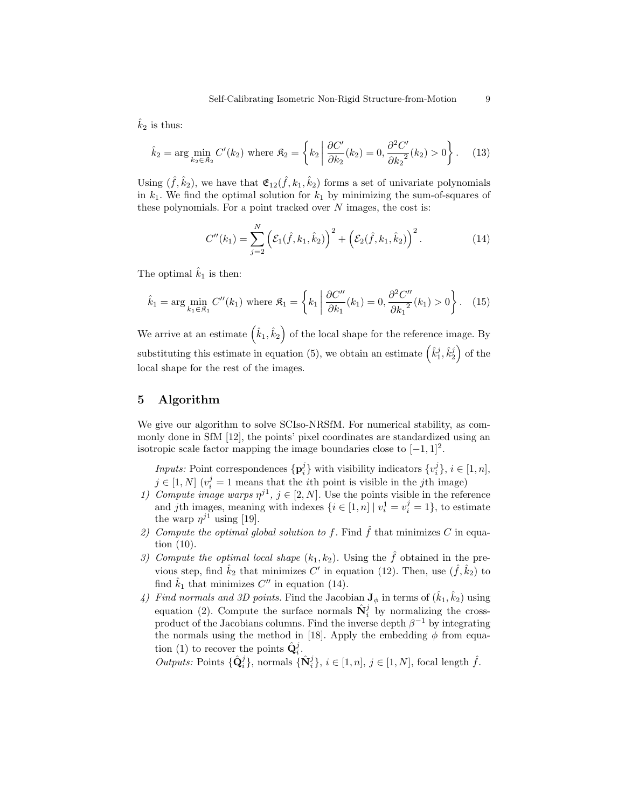$\hat{k}_2$  is thus:

$$
\hat{k}_2 = \arg\min_{k_2 \in \mathfrak{K}_2} C'(k_2) \text{ where } \mathfrak{K}_2 = \left\{ k_2 \middle| \frac{\partial C'}{\partial k_2}(k_2) = 0, \frac{\partial^2 C'}{\partial k_2^2}(k_2) > 0 \right\}. \tag{13}
$$

Using  $(\hat{f}, \hat{k}_2)$ , we have that  $\mathfrak{E}_{12}(\hat{f}, k_1, \hat{k}_2)$  forms a set of univariate polynomials in  $k_1$ . We find the optimal solution for  $k_1$  by minimizing the sum-of-squares of these polynomials. For a point tracked over  $N$  images, the cost is:

$$
C''(k_1) = \sum_{j=2}^{N} \left( \mathcal{E}_1(\hat{f}, k_1, \hat{k}_2) \right)^2 + \left( \mathcal{E}_2(\hat{f}, k_1, \hat{k}_2) \right)^2.
$$
 (14)

The optimal  $\hat{k}_1$  is then:

$$
\hat{k}_1 = \arg \min_{k_1 \in \mathfrak{K}_1} C''(k_1) \text{ where } \mathfrak{K}_1 = \left\{ k_1 \middle| \frac{\partial C''}{\partial k_1}(k_1) = 0, \frac{\partial^2 C''}{\partial k_1^2}(k_1) > 0 \right\}. \tag{15}
$$

We arrive at an estimate  $(\hat{k}_1, \hat{k}_2)$  of the local shape for the reference image. By substituting this estimate in equation (5), we obtain an estimate  $(\hat{k}_1^j, \hat{k}_2^j)$  of the local shape for the rest of the images.

# 5 Algorithm

We give our algorithm to solve SCIso-NRSfM. For numerical stability, as commonly done in SfM [12], the points' pixel coordinates are standardized using an isotropic scale factor mapping the image boundaries close to  $[-1, 1]^2$ .

*Inputs:* Point correspondences  $\{p_i^j\}$  with visibility indicators  $\{v_i^j\}$ ,  $i \in [1, n]$ ,  $j \in [1, N]$   $(v_i^j = 1$  means that the *i*<sup>th</sup> point is visible in the *j*<sup>th</sup> image)

- 1) Compute image warps  $\eta^{j_1}, j \in [2, N]$ . Use the points visible in the reference and jth images, meaning with indexes  $\{i \in [1, n] \mid v_i^1 = v_i^j = 1\}$ , to estimate the warp  $\eta^{j_1}$  using [19].
- 2) Compute the optimal global solution to f. Find  $\hat{f}$  that minimizes C in equation (10).
- 3) Compute the optimal local shape  $(k_1, k_2)$ . Using the  $\hat{f}$  obtained in the previous step, find  $\hat{k}_2$  that minimizes C' in equation (12). Then, use  $(\hat{f}, \hat{k}_2)$  to find  $\hat{k}_1$  that minimizes  $C''$  in equation (14).
- 4) Find normals and 3D points. Find the Jacobian  $J_{\phi}$  in terms of  $(\hat{k}_1, \hat{k}_2)$  using equation (2). Compute the surface normals  $\hat{\mathbf{N}}_i^j$  by normalizing the crossproduct of the Jacobians columns. Find the inverse depth  $\beta^{-1}$  by integrating the normals using the method in [18]. Apply the embedding  $\phi$  from equation (1) to recover the points  $\hat{\mathbf{Q}}_i^j$ .

Outputs: Points  $\{\hat{\mathbf{Q}}_i^j\}$ , normals  $\{\hat{\mathbf{N}}_i^j\}$ ,  $i \in [1, n]$ ,  $j \in [1, N]$ , focal length  $\hat{f}$ .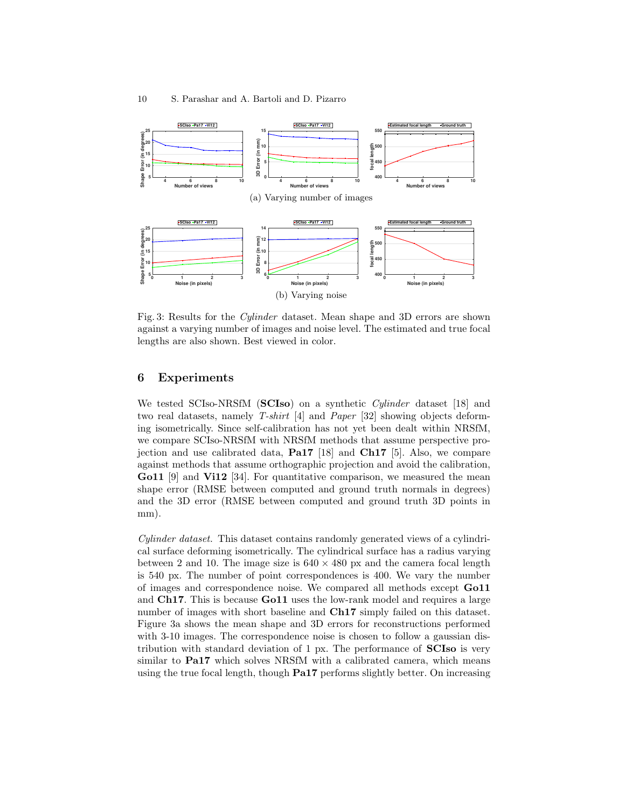

Fig. 3: Results for the Cylinder dataset. Mean shape and 3D errors are shown against a varying number of images and noise level. The estimated and true focal lengths are also shown. Best viewed in color.

# 6 Experiments

We tested SCIso-NRSfM (SCIso) on a synthetic *Cylinder* dataset [18] and two real datasets, namely T-shirt [4] and Paper [32] showing objects deforming isometrically. Since self-calibration has not yet been dealt within NRSfM, we compare SCIso-NRSfM with NRSfM methods that assume perspective projection and use calibrated data, Pa17 [18] and Ch17 [5]. Also, we compare against methods that assume orthographic projection and avoid the calibration, Go11 [9] and Vi12 [34]. For quantitative comparison, we measured the mean shape error (RMSE between computed and ground truth normals in degrees) and the 3D error (RMSE between computed and ground truth 3D points in mm).

Cylinder dataset. This dataset contains randomly generated views of a cylindrical surface deforming isometrically. The cylindrical surface has a radius varying between 2 and 10. The image size is  $640 \times 480$  px and the camera focal length is 540 px. The number of point correspondences is 400. We vary the number of images and correspondence noise. We compared all methods except Go11 and Ch17. This is because Go11 uses the low-rank model and requires a large number of images with short baseline and Ch17 simply failed on this dataset. Figure 3a shows the mean shape and 3D errors for reconstructions performed with 3-10 images. The correspondence noise is chosen to follow a gaussian distribution with standard deviation of 1 px. The performance of SCIso is very similar to Pa17 which solves NRSfM with a calibrated camera, which means using the true focal length, though Pa17 performs slightly better. On increasing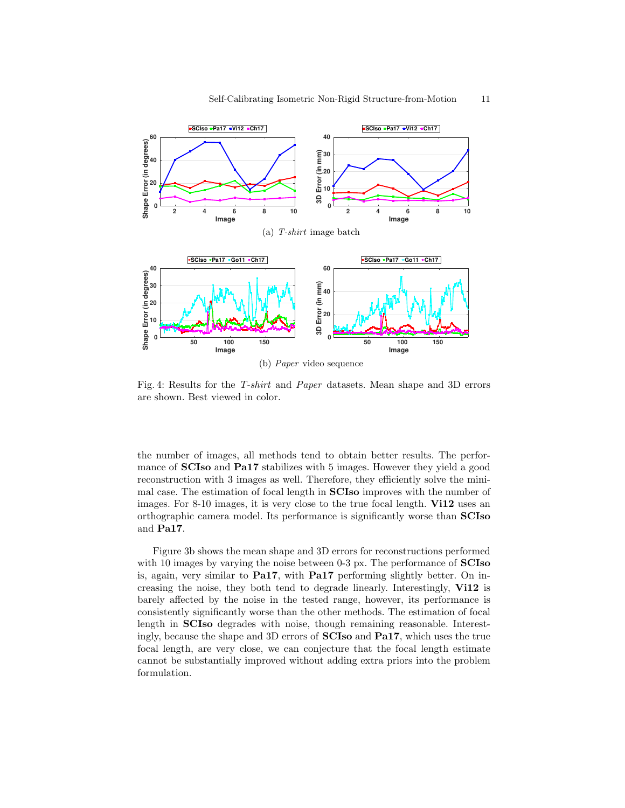

Fig. 4: Results for the T-shirt and Paper datasets. Mean shape and 3D errors are shown. Best viewed in color.

the number of images, all methods tend to obtain better results. The performance of **SCIso** and **Pa17** stabilizes with 5 images. However they yield a good reconstruction with 3 images as well. Therefore, they efficiently solve the minimal case. The estimation of focal length in SCIso improves with the number of images. For 8-10 images, it is very close to the true focal length. Vi12 uses an orthographic camera model. Its performance is significantly worse than SCIso and Pa17.

Figure 3b shows the mean shape and 3D errors for reconstructions performed with 10 images by varying the noise between 0-3 px. The performance of  $SCIso$ is, again, very similar to Pa17, with Pa17 performing slightly better. On increasing the noise, they both tend to degrade linearly. Interestingly, Vi12 is barely affected by the noise in the tested range, however, its performance is consistently significantly worse than the other methods. The estimation of focal length in SCIso degrades with noise, though remaining reasonable. Interestingly, because the shape and 3D errors of SCIso and Pa17, which uses the true focal length, are very close, we can conjecture that the focal length estimate cannot be substantially improved without adding extra priors into the problem formulation.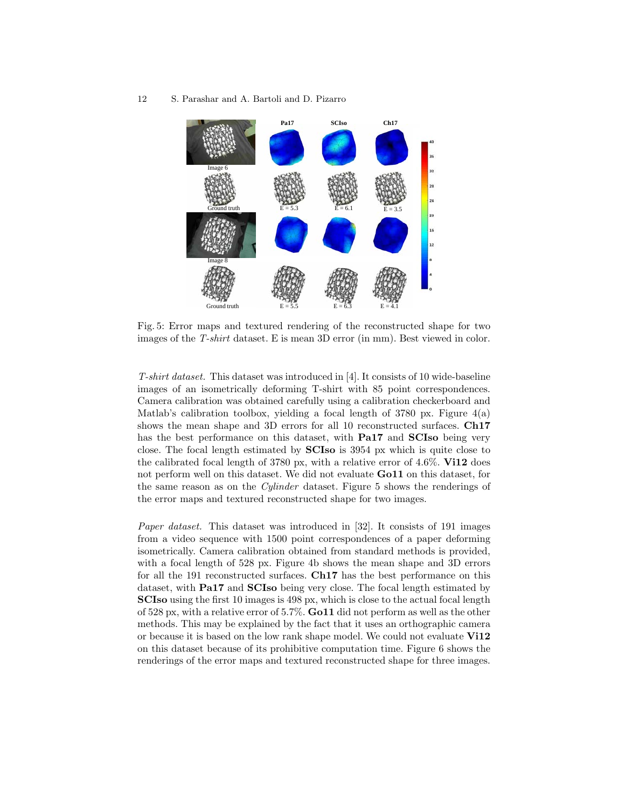#### 12 S. Parashar and A. Bartoli and D. Pizarro



Fig. 5: Error maps and textured rendering of the reconstructed shape for two images of the T-shirt dataset. E is mean 3D error (in mm). Best viewed in color.

T-shirt dataset. This dataset was introduced in [4]. It consists of 10 wide-baseline images of an isometrically deforming T-shirt with 85 point correspondences. Camera calibration was obtained carefully using a calibration checkerboard and Matlab's calibration toolbox, yielding a focal length of  $3780 \text{ px}$ . Figure  $4(a)$ shows the mean shape and 3D errors for all 10 reconstructed surfaces. Ch17 has the best performance on this dataset, with **Pa17** and **SCIso** being very close. The focal length estimated by SCIso is 3954 px which is quite close to the calibrated focal length of 3780 px, with a relative error of 4.6%. Vi12 does not perform well on this dataset. We did not evaluate **Go11** on this dataset, for the same reason as on the Cylinder dataset. Figure 5 shows the renderings of the error maps and textured reconstructed shape for two images.

Paper dataset. This dataset was introduced in [32]. It consists of 191 images from a video sequence with 1500 point correspondences of a paper deforming isometrically. Camera calibration obtained from standard methods is provided, with a focal length of 528 px. Figure 4b shows the mean shape and 3D errors for all the 191 reconstructed surfaces. Ch17 has the best performance on this dataset, with Pa17 and SCIso being very close. The focal length estimated by SCIso using the first 10 images is 498 px, which is close to the actual focal length of 528 px, with a relative error of 5.7%. Go11 did not perform as well as the other methods. This may be explained by the fact that it uses an orthographic camera or because it is based on the low rank shape model. We could not evaluate Vi12 on this dataset because of its prohibitive computation time. Figure 6 shows the renderings of the error maps and textured reconstructed shape for three images.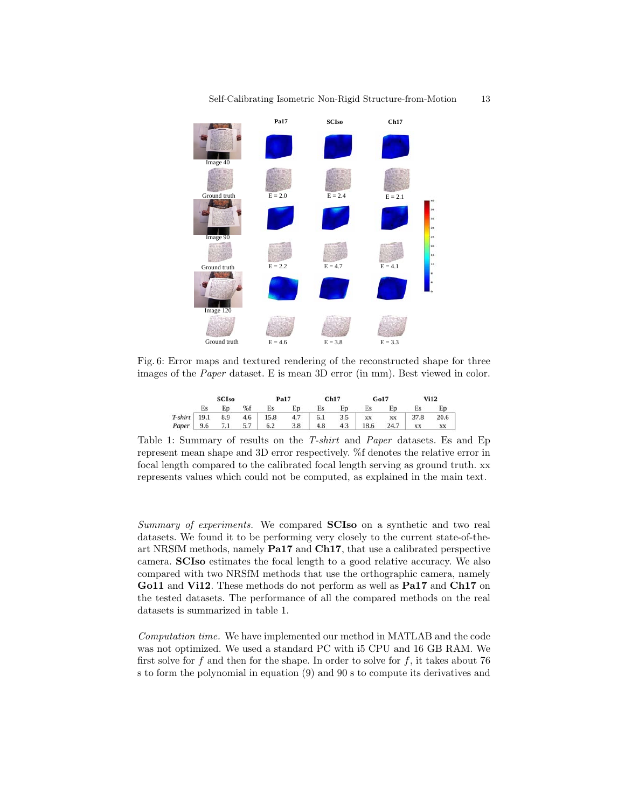

Fig. 6: Error maps and textured rendering of the reconstructed shape for three images of the Paper dataset. E is mean 3D error (in mm). Best viewed in color.

| <b>SCIso</b> |  |  |                                                       | Pa17 |     | Ch17 |                     | Go17 | <b>Vi12</b> |  |  |
|--------------|--|--|-------------------------------------------------------|------|-----|------|---------------------|------|-------------|--|--|
|              |  |  | Es Ep %f Es Ep Es Ep Es Ep                            |      |     |      |                     |      | Es Ep       |  |  |
|              |  |  | T-shirt 19.1 8.9 4.6 15.8 4.7 6.1 3.5 xx xx 37.8 20.6 |      |     |      |                     |      |             |  |  |
|              |  |  | Paper 9.6 7.1 5.7 6.2 3.8                             |      | 4.8 |      | 4.3 18.6 24.7 xx xx |      |             |  |  |

Table 1: Summary of results on the T-shirt and Paper datasets. Es and Ep represent mean shape and 3D error respectively. %f denotes the relative error in focal length compared to the calibrated focal length serving as ground truth. xx represents values which could not be computed, as explained in the main text.

Summary of experiments. We compared **SCIso** on a synthetic and two real datasets. We found it to be performing very closely to the current state-of-theart NRSfM methods, namely Pa17 and Ch17, that use a calibrated perspective camera. SCIso estimates the focal length to a good relative accuracy. We also compared with two NRSfM methods that use the orthographic camera, namely Go11 and Vi12. These methods do not perform as well as Pa17 and Ch17 on the tested datasets. The performance of all the compared methods on the real datasets is summarized in table 1.

Computation time. We have implemented our method in MATLAB and the code was not optimized. We used a standard PC with i5 CPU and 16 GB RAM. We first solve for f and then for the shape. In order to solve for f, it takes about 76 s to form the polynomial in equation (9) and 90 s to compute its derivatives and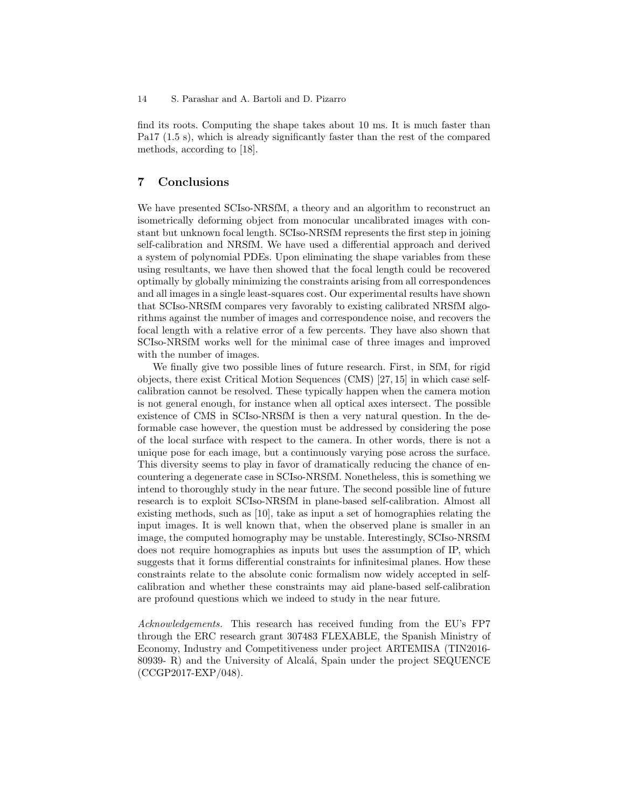find its roots. Computing the shape takes about 10 ms. It is much faster than Pa17 (1.5 s), which is already significantly faster than the rest of the compared methods, according to [18].

# 7 Conclusions

We have presented SCIso-NRSfM, a theory and an algorithm to reconstruct an isometrically deforming object from monocular uncalibrated images with constant but unknown focal length. SCIso-NRSfM represents the first step in joining self-calibration and NRSfM. We have used a differential approach and derived a system of polynomial PDEs. Upon eliminating the shape variables from these using resultants, we have then showed that the focal length could be recovered optimally by globally minimizing the constraints arising from all correspondences and all images in a single least-squares cost. Our experimental results have shown that SCIso-NRSfM compares very favorably to existing calibrated NRSfM algorithms against the number of images and correspondence noise, and recovers the focal length with a relative error of a few percents. They have also shown that SCIso-NRSfM works well for the minimal case of three images and improved with the number of images.

We finally give two possible lines of future research. First, in SfM, for rigid objects, there exist Critical Motion Sequences (CMS) [27, 15] in which case selfcalibration cannot be resolved. These typically happen when the camera motion is not general enough, for instance when all optical axes intersect. The possible existence of CMS in SCIso-NRSfM is then a very natural question. In the deformable case however, the question must be addressed by considering the pose of the local surface with respect to the camera. In other words, there is not a unique pose for each image, but a continuously varying pose across the surface. This diversity seems to play in favor of dramatically reducing the chance of encountering a degenerate case in SCIso-NRSfM. Nonetheless, this is something we intend to thoroughly study in the near future. The second possible line of future research is to exploit SCIso-NRSfM in plane-based self-calibration. Almost all existing methods, such as [10], take as input a set of homographies relating the input images. It is well known that, when the observed plane is smaller in an image, the computed homography may be unstable. Interestingly, SCIso-NRSfM does not require homographies as inputs but uses the assumption of IP, which suggests that it forms differential constraints for infinitesimal planes. How these constraints relate to the absolute conic formalism now widely accepted in selfcalibration and whether these constraints may aid plane-based self-calibration are profound questions which we indeed to study in the near future.

Acknowledgements. This research has received funding from the EU's FP7 through the ERC research grant 307483 FLEXABLE, the Spanish Ministry of Economy, Industry and Competitiveness under project ARTEMISA (TIN2016- 80939- R) and the University of Alcalá, Spain under the project SEQUENCE (CCGP2017-EXP/048).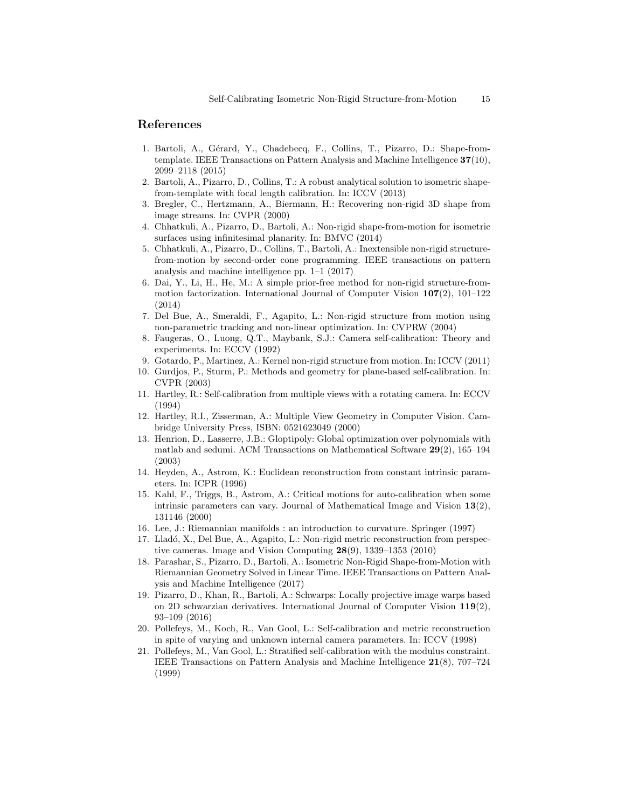## References

- 1. Bartoli, A., Gérard, Y., Chadebecq, F., Collins, T., Pizarro, D.: Shape-fromtemplate. IEEE Transactions on Pattern Analysis and Machine Intelligence 37(10), 2099–2118 (2015)
- 2. Bartoli, A., Pizarro, D., Collins, T.: A robust analytical solution to isometric shapefrom-template with focal length calibration. In: ICCV (2013)
- 3. Bregler, C., Hertzmann, A., Biermann, H.: Recovering non-rigid 3D shape from image streams. In: CVPR (2000)
- 4. Chhatkuli, A., Pizarro, D., Bartoli, A.: Non-rigid shape-from-motion for isometric surfaces using infinitesimal planarity. In: BMVC (2014)
- 5. Chhatkuli, A., Pizarro, D., Collins, T., Bartoli, A.: Inextensible non-rigid structurefrom-motion by second-order cone programming. IEEE transactions on pattern analysis and machine intelligence pp. 1–1 (2017)
- 6. Dai, Y., Li, H., He, M.: A simple prior-free method for non-rigid structure-frommotion factorization. International Journal of Computer Vision  $107(2)$ ,  $101-122$ (2014)
- 7. Del Bue, A., Smeraldi, F., Agapito, L.: Non-rigid structure from motion using non-parametric tracking and non-linear optimization. In: CVPRW (2004)
- 8. Faugeras, O., Luong, Q.T., Maybank, S.J.: Camera self-calibration: Theory and experiments. In: ECCV (1992)
- 9. Gotardo, P., Martinez, A.: Kernel non-rigid structure from motion. In: ICCV (2011)
- 10. Gurdjos, P., Sturm, P.: Methods and geometry for plane-based self-calibration. In: CVPR (2003)
- 11. Hartley, R.: Self-calibration from multiple views with a rotating camera. In: ECCV (1994)
- 12. Hartley, R.I., Zisserman, A.: Multiple View Geometry in Computer Vision. Cambridge University Press, ISBN: 0521623049 (2000)
- 13. Henrion, D., Lasserre, J.B.: Gloptipoly: Global optimization over polynomials with matlab and sedumi. ACM Transactions on Mathematical Software 29(2), 165–194 (2003)
- 14. Heyden, A., Astrom, K.: Euclidean reconstruction from constant intrinsic parameters. In: ICPR (1996)
- 15. Kahl, F., Triggs, B., Astrom, A.: Critical motions for auto-calibration when some intrinsic parameters can vary. Journal of Mathematical Image and Vision 13(2), 131146 (2000)
- 16. Lee, J.: Riemannian manifolds : an introduction to curvature. Springer (1997)
- 17. Lladó, X., Del Bue, A., Agapito, L.: Non-rigid metric reconstruction from perspective cameras. Image and Vision Computing 28(9), 1339–1353 (2010)
- 18. Parashar, S., Pizarro, D., Bartoli, A.: Isometric Non-Rigid Shape-from-Motion with Riemannian Geometry Solved in Linear Time. IEEE Transactions on Pattern Analysis and Machine Intelligence (2017)
- 19. Pizarro, D., Khan, R., Bartoli, A.: Schwarps: Locally projective image warps based on 2D schwarzian derivatives. International Journal of Computer Vision  $119(2)$ , 93–109 (2016)
- 20. Pollefeys, M., Koch, R., Van Gool, L.: Self-calibration and metric reconstruction in spite of varying and unknown internal camera parameters. In: ICCV (1998)
- 21. Pollefeys, M., Van Gool, L.: Stratified self-calibration with the modulus constraint. IEEE Transactions on Pattern Analysis and Machine Intelligence 21(8), 707–724 (1999)